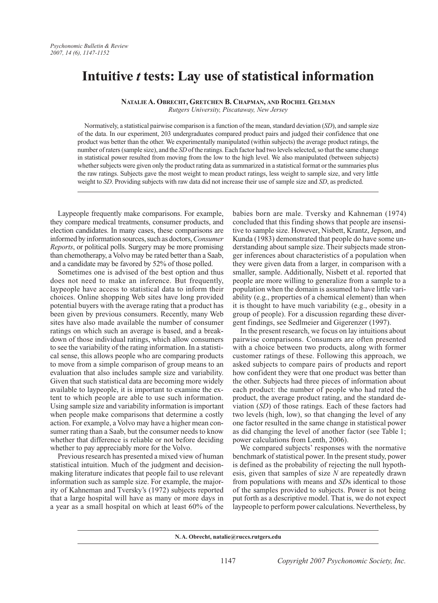# Intuitive t tests: Lay use of statistical information

NATALIE A. OBRECHT, GRETCHEN B. CHAPMAN, AND ROCHEL GELMAN

Rutgers University, Piscataway, New Jersey

Normatively, a statistical pairwise comparison is a function of the mean, standard deviation (SD), and sample size of the data. In our experiment, 203 undergraduates compared product pairs and judged their confidence that one product was better than the other. We experimentally manipulated (within subjects) the average product ratings, the number of raters (sample size), and the SD of the ratings. Each factor had two levels selected, so that the same change in statistical power resulted from moving from the low to the high level. We also manipulated (between subjects) whether subjects were given only the product rating data as summarized in a statistical format or the summaries plus the raw ratings. Subjects gave the most weight to mean product ratings, less weight to sample size, and very little weight to SD. Providing subjects with raw data did not increase their use of sample size and SD, as predicted.

Laypeople frequently make comparisons. For example, they compare medical treatments, consumer products, and election candidates. In many cases, these comparisons are informed by information sources, such as doctors, Consumer *Reports*, or political polls. Surgery may be more promising than chemotherapy, a Volvo may be rated better than a Saab, and a candidate may be favored by 52% of those polled.

Sometimes one is advised of the best option and thus does not need to make an inference. But frequently, laypeople have access to statistical data to inform their choices. Online shopping Web sites have long provided potential buyers with the average rating that a product has been given by previous consumers. Recently, many Web sites have also made available the number of consumer ratings on which such an average is based, and a breakdown of those individual ratings, which allow consumers to see the variability of the rating information. In a statistical sense, this allows people who are comparing products to move from a simple comparison of group means to an evaluation that also includes sample size and variability. Given that such statistical data are becoming more widely available to laypeople, it is important to examine the extent to which people are able to use such information. Using sample size and variability information is important when people make comparisons that determine a costly action. For example, a Volvo may have a higher mean consumer rating than a Saab, but the consumer needs to know whether that difference is reliable or not before deciding whether to pay appreciably more for the Volvo.

Previous research has presented a mixed view of human statistical intuition. Much of the judgment and decisionmaking literature indicates that people fail to use relevant information such as sample size. For example, the majority of Kahneman and Tversky's (1972) subjects reported that a large hospital will have as many or more days in a year as a small hospital on which at least 60% of the

babies born are male. Tversky and Kahneman (1974) concluded that this finding shows that people are insensitive to sample size. However, Nisbett, Krantz, Jepson, and Kunda (1983) demonstrated that people do have some understanding about sample size. Their subjects made stronger inferences about characteristics of a population when they were given data from a larger, in comparison with a smaller, sample. Additionally, Nisbett et al. reported that people are more willing to generalize from a sample to a population when the domain is assumed to have little variability (e.g., properties of a chemical element) than when it is thought to have much variability (e.g., obesity in a group of people). For a discussion regarding these divergent findings, see Sedlmeier and Gigerenzer (1997).

In the present research, we focus on lay intuitions about pairwise comparisons. Consumers are often presented with a choice between two products, along with former customer ratings of these. Following this approach, we asked subjects to compare pairs of products and report how confident they were that one product was better than the other. Subjects had three pieces of information about each product: the number of people who had rated the product, the average product rating, and the standard deviation (SD) of those ratings. Each of these factors had two levels (high, low), so that changing the level of any one factor resulted in the same change in statistical power as did changing the level of another factor (see Table 1; power calculations from Lenth, 2006).

We compared subjects' responses with the normative benchmark of statistical power. In the present study, power is defined as the probability of rejecting the null hypothesis, given that samples of size  $N$  are repeatedly drawn from populations with means and SDs identical to those of the samples provided to subjects. Power is not being put forth as a descriptive model. That is, we do not expect laypeople to perform power calculations. Nevertheless, by

N.A. Obrecht, natalie@ruccs.rutgers.edu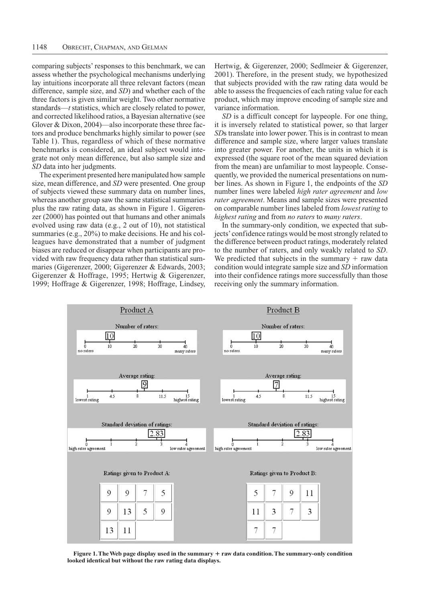comparing subjects' responses to this benchmark, we can assess whether the psychological mechanisms underlying lay intuitions incorporate all three relevant factors (mean difference, sample size, and SD) and whether each of the three factors is given similar weight. Two other normative standards—*t* statistics, which are closely related to power, and corrected likelihood ratios, a Bayesian alternative (see Glover & Dixon, 2004)—also incorporate these three factors and produce benchmarks highly similar to power (see Table 1). Thus, regardless of which of these normative benchmarks is considered, an ideal subject would integrate not only mean difference, but also sample size and SD data into her judgments.

The experiment presented here manipulated how sample size, mean difference, and SD were presented. One group of subjects viewed these summary data on number lines, whereas another group saw the same statistical summaries plus the raw rating data, as shown in Figure 1. Gigerenzer (2000) has pointed out that humans and other animals evolved using raw data (e.g., 2 out of 10), not statistical summaries (e.g., 20%) to make decisions. He and his colleagues have demonstrated that a number of judgment biases are reduced or disappear when participants are provided with raw frequency data rather than statistical summaries (Gigerenzer, 2000; Gigerenzer & Edwards, 2003; Gigerenzer & Hoffrage, 1995; Hertwig & Gigerenzer, 1999; Hoffrage & Gigerenzer, 1998; Hoffrage, Lindsey, Hertwig, & Gigerenzer, 2000; Sedlmeier & Gigerenzer, 2001). Therefore, in the present study, we hypothesized that subjects provided with the raw rating data would be able to assess the frequencies of each rating value for each product, which may improve encoding of sample size and variance information.

SD is a difficult concept for laypeople. For one thing, it is inversely related to statistical power, so that larger SDs translate into lower power. This is in contrast to mean difference and sample size, where larger values translate into greater power. For another, the units in which it is expressed (the square root of the mean squared deviation from the mean) are unfamiliar to most laypeople. Consequently, we provided the numerical presentations on number lines. As shown in Figure 1, the endpoints of the SD number lines were labeled high rater agreement and low rater agreement. Means and sample sizes were presented on comparable number lines labeled from lowest rating to highest rating and from no raters to many raters.

In the summary-only condition, we expected that subjects' confidence ratings would be most strongly related to the difference between product ratings, moderately related to the number of raters, and only weakly related to SD. We predicted that subjects in the summary  $+$  raw data condition would integrate sample size and SD information into their confidence ratings more successfully than those receiving only the summary information.



Figure 1. The Web page display used in the summary + raw data condition. The summary-only condition looked identical but without the raw rating data displays.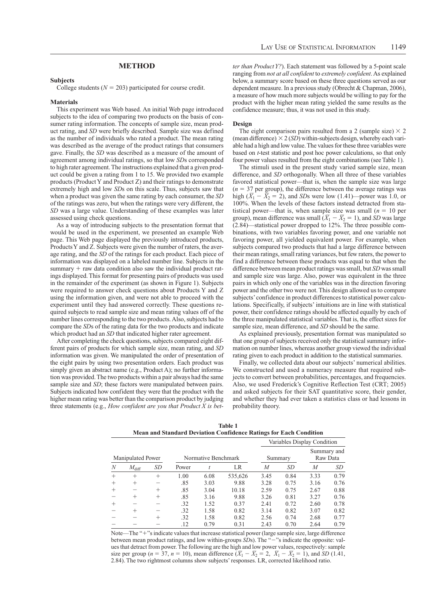# **METHOD**

## **Subjects**

College students ( $N = 203$ ) participated for course credit.

#### Materials

This experiment was Web based. An initial Web page introduced subjects to the idea of comparing two products on the basis of consumer rating information. The concepts of sample size, mean product rating, and SD were briefly described. Sample size was defined as the number of individuals who rated a product. The mean rating was described as the average of the product ratings that consumers gave. Finally, the SD was described as a measure of the amount of agreement among individual ratings, so that low SDs corresponded to high rater agreement. The instructions explained that a given product could be given a rating from 1 to 15. We provided two example products (Product Y and Product Z) and their ratings to demonstrate extremely high and low SDs on this scale. Thus, subjects saw that when a product was given the same rating by each consumer, the SD of the ratings was zero, but when the ratings were very different, the SD was a large value. Understanding of these examples was later assessed using check questions.

As a way of introducing subjects to the presentation format that would be used in the experiment, we presented an example Web page. This Web page displayed the previously introduced products, Products Y and Z. Subjects were given the number of raters, the average rating, and the SD of the ratings for each product. Each piece of information was displayed on a labeled number line. Subjects in the summary  $+$  raw data condition also saw the individual product ratings displayed. This format for presenting pairs of products was used in the remainder of the experiment (as shown in Figure 1). Subjects were required to answer check questions about Products Y and Z using the information given, and were not able to proceed with the experiment until they had answered correctly. These questions required subjects to read sample size and mean rating values off of the number lines corresponding to the two products. Also, subjects had to compare the SDs of the rating data for the two products and indicate which product had an SD that indicated higher rater agreement.

After completing the check questions, subjects compared eight different pairs of products for which sample size, mean rating, and SD information was given. We manipulated the order of presentation of the eight pairs by using two presentation orders. Each product was simply given an abstract name (e.g., Product A); no further information was provided. The two products within a pair always had the same sample size and SD; these factors were manipulated between pairs. Subjects indicated how confident they were that the product with the higher mean rating was better than the comparison product by judging three statements (e.g., How confident are you that Product  $X$  is better than Product Y?). Each statement was followed by a 5-point scale ranging from not at all confident to extremely confident. As explained below, a summary score based on these three questions served as our dependent measure. In a previous study (Obrecht & Chapman, 2006), a measure of how much more subjects would be willing to pay for the product with the higher mean rating yielded the same results as the confidence measure; thus, it was not used in this study.

#### Design

The eight comparison pairs resulted from a 2 (sample size)  $\times$  2 (mean difference)  $\times$  2 (SD) within-subjects design, whereby each variable had a high and low value. The values for these three variables were based on *t*-test statistic and post hoc power calculations, so that only four power values resulted from the eight combinations (see Table 1).

The stimuli used in the present study varied sample size, mean difference, and SD orthogonally. When all three of these variables favored statistical power—that is, when the sample size was large  $(n = 37$  per group), the difference between the average ratings was high  $(\overline{X}_1 - \overline{X}_2 = 2)$ , and SDs were low (1.41)—power was 1.0, or 100%. When the levels of these factors instead detracted from statistical power—that is, when sample size was small ( $n = 10$  per group), mean difference was small  $(\overline{X}_1 - \overline{X}_2 = 1)$ , and SD was large  $(2.84)$  -statistical power dropped to 12%. The three possible combinations, with two variables favoring power, and one variable not favoring power, all yielded equivalent power. For example, when subjects compared two products that had a large difference between their mean ratings, small rating variances, but few raters, the power to find a difference between these products was equal to that when the difference between mean product ratings was small, but SD was small and sample size was large. Also, power was equivalent in the three pairs in which only one of the variables was in the direction favoring power and the other two were not. This design allowed us to compare subjects' confidence in product differences to statistical power calculations. Specifically, if subjects' intuitions are in line with statistical power, their confidence ratings should be affected equally by each of the three manipulated statistical variables. That is, the effect sizes for sample size, mean difference, and SD should be the same.

As explained previously, presentation format was manipulated so that one group of subjects received only the statistical summary information on number lines, whereas another group viewed the individual rating given to each product in addition to the statistical summaries.

Finally, we collected data about our subjects' numerical abilities. We constructed and used a numeracy measure that required subjects to convert between probabilities, percentages, and frequencies. Also, we used Frederick's Cognitive Reflection Test (CRT; 2005) and asked subjects for their SAT quantitative score, their gender, and whether they had ever taken a statistics class or had lessons in probability theory.

| <b>Mean and Standard Deviation Confidence Ratings for Each Condition</b> |                |        |                     |      |         |         |           |                             |      |  |  |
|--------------------------------------------------------------------------|----------------|--------|---------------------|------|---------|---------|-----------|-----------------------------|------|--|--|
|                                                                          |                |        |                     |      |         |         |           | Variables Display Condition |      |  |  |
| Manipulated Power                                                        |                |        | Normative Benchmark |      |         | Summary |           | Summary and<br>Raw Data     |      |  |  |
| $\boldsymbol{N}$                                                         | $M_{\rm diff}$ | SD     | Power               |      | LR      | M       | <b>SD</b> | М                           | SD   |  |  |
| $^{+}$                                                                   | $^{+}$         | $^{+}$ | 1.00                | 6.08 | 535,626 | 3.45    | 0.84      | 3.33                        | 0.79 |  |  |
| $^{+}$                                                                   | $^{+}$         |        | .85                 | 3.03 | 9.88    | 3.28    | 0.75      | 3.16                        | 0.76 |  |  |
| $^{+}$                                                                   |                | $^{+}$ | .85                 | 3.04 | 10.18   | 2.59    | 0.75      | 2.67                        | 0.88 |  |  |
|                                                                          | $^+$           | $^+$   | .85                 | 3.16 | 9.88    | 3.26    | 0.81      | 3.27                        | 0.76 |  |  |
| $^+$                                                                     |                |        | .32                 | 1.52 | 0.37    | 2.41    | 0.72      | 2.60                        | 0.78 |  |  |
|                                                                          | $^+$           |        | .32                 | 1.58 | 0.82    | 3.14    | 0.82      | 3.07                        | 0.82 |  |  |
|                                                                          |                | $^+$   | .32                 | 1.58 | 0.82    | 2.56    | 0.74      | 2.68                        | 0.77 |  |  |
|                                                                          |                |        | .12                 | 0.79 | 0.31    | 2.43    | 0.70      | 2.64                        | 0.79 |  |  |

**Table 1** 

Note—The "+"s indicate values that increase statistical power (large sample size, large difference between mean product ratings, and low within-groups SDs). The "-"s indicate the opposite: values that detract from power. The following are the high and low power values, respectively: sample size per group ( $n = 37$ ,  $n = 10$ ), mean difference ( $\overline{X}_1 - \overline{X}_2 = 2$ ,  $\overline{X}_1 - \overline{X}_2 = 1$ ), and SD (1.41, 2.84). The two rightmost columns show subjects' responses. LR, corrected likelihood ratio.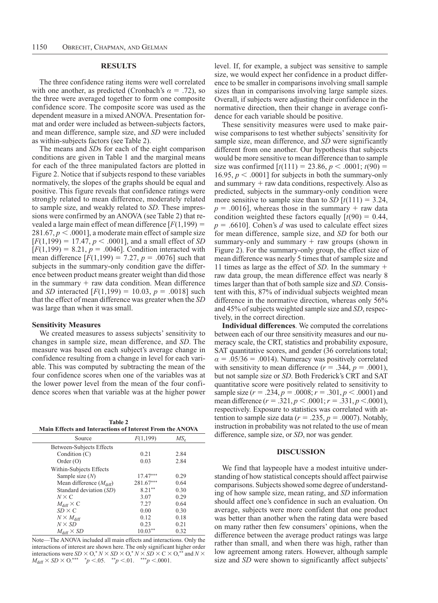# **RESULTS**

The three confidence rating items were well correlated with one another, as predicted (Cronbach's  $\alpha = .72$ ), so the three were averaged together to form one composite confidence score. The composite score was used as the dependent measure in a mixed ANOVA. Presentation format and order were included as between-subjects factors, and mean difference, sample size, and SD were included as within-subjects factors (see Table 2).

The means and SDs for each of the eight comparison conditions are given in Table 1 and the marginal means for each of the three manipulated factors are plotted in Figure 2. Notice that if subjects respond to these variables normatively, the slopes of the graphs should be equal and positive. This figure reveals that confidence ratings were strongly related to mean difference, moderately related to sample size, and weakly related to SD. These impressions were confirmed by an ANOVA (see Table 2) that revealed a large main effect of mean difference  $F(1,199) =$ 281.67,  $p < .0001$ ], a moderate main effect of sample size  $[F(1,199) = 17.47, p < .0001]$ , and a small effect of SD  $[F(1,199) = 8.21, p = .0046]$ . Condition interacted with mean difference  $[F(1,199) = 7.27, p = .0076]$  such that subjects in the summary-only condition gave the difference between product means greater weight than did those in the summary  $+$  raw data condition. Mean difference and *SD* interacted  $[F(1,199) = 10.03, p = .0018]$  such that the effect of mean difference was greater when the SD was large than when it was small.

## **Sensitivity Measures**

We created measures to assess subjects' sensitivity to changes in sample size, mean difference, and SD. The measure was based on each subject's average change in confidence resulting from a change in level for each variable. This was computed by subtracting the mean of the four confidence scores when one of the variables was at the lower power level from the mean of the four confidence scores when that variable was at the higher power

| <b>Table 2</b>                                           |  |  |  |  |  |  |  |
|----------------------------------------------------------|--|--|--|--|--|--|--|
| Main Effects and Interactions of Interest From the ANOVA |  |  |  |  |  |  |  |

| Source                              | F(1,199)            | $MS_{\rm e}$ |  |
|-------------------------------------|---------------------|--------------|--|
| Between-Subjects Effects            |                     |              |  |
| Condition $(C)$                     | 0.21                | 2.84         |  |
| Order (O)                           | 0.03                | 2.84         |  |
| Within-Subjects Effects             |                     |              |  |
| Sample size $(N)$                   | $17.47***$          | 0.29         |  |
| Mean difference $(M_{\text{diff}})$ | 281.67***           | 0.64         |  |
| Standard deviation (SD)             | $8.21***$           | 0.30         |  |
| $N \times C$                        | 3.07                | 0.29         |  |
| $M_{\rm diff} \times {\rm C}$       | 7.27                | 0.64         |  |
| $SD \times C$                       | 0.00                | 0.30         |  |
| $N \times M_{\text{diff}}$          | 0.12                | 0.18         |  |
| $N \times SD$                       | 0.23                | 0.21         |  |
| $M_{\rm max} \times S$ D            | 10.03 <sup>**</sup> | በ 32         |  |

Note-The ANOVA included all main effects and interactions. Only the interactions of interest are shown here. The only significant higher order interactions were  $SD \times O$ ,  $N \times SD \times O$ ,  $N \times SD \times C \times O$ ,  $N^*$  and  $N \times M_{\text{diff}} \times SD \times O$ .  $N^*$   $p \le 0.05$ .  $N^* p \le 0.01$ .  $N^* p \le 0.001$ . level. If, for example, a subject was sensitive to sample size, we would expect her confidence in a product difference to be smaller in comparisons involving small sample sizes than in comparisons involving large sample sizes. Overall, if subjects were adjusting their confidence in the normative direction, then their change in average confidence for each variable should be positive.

These sensitivity measures were used to make pairwise comparisons to test whether subjects' sensitivity for sample size, mean difference, and *SD* were significantly different from one another. Our hypothesis that subjects would be more sensitive to mean difference than to sample size was confirmed  $[t(111) = 23.86, p < .0001; t(90) =$ 16.95,  $p < .0001$  for subjects in both the summary-only and summary  $+$  raw data conditions, respectively. Also as predicted, subjects in the summary-only condition were more sensitive to sample size than to SD  $\left[t(111) = 3.24\right]$ ,  $p = .0016$ , whereas those in the summary + raw data condition weighted these factors equally  $\left[t(90) = 0.44\right]$ ,  $p = .6610$ . Cohen's d was used to calculate effect sizes for mean difference, sample size, and SD for both our summary-only and summary + raw groups (shown in Figure 2). For the summary-only group, the effect size of mean difference was nearly 5 times that of sample size and 11 times as large as the effect of  $SD$ . In the summary + raw data group, the mean difference effect was nearly 8 times larger than that of both sample size and SD. Consistent with this, 87% of individual subjects weighted mean difference in the normative direction, whereas only 56% and 45% of subjects weighted sample size and SD, respectively, in the correct direction.

Individual differences. We computed the correlations between each of our three sensitivity measures and our numeracy scale, the CRT, statistics and probability exposure, SAT quantitative scores, and gender (36 correlations total;  $\alpha = .05/36 = .0014$ ). Numeracy was positively correlated with sensitivity to mean difference ( $r = .344$ ,  $p = .0001$ ), but not sample size or SD. Both Frederick's CRT and SAT quantitative score were positively related to sensitivity to sample size  $(r = .234, p = .0008; r = .301, p < .0001)$  and mean difference  $(r = .321, p < .0001; r = .331, p < .0001)$ , respectively. Exposure to statistics was correlated with attention to sample size data ( $r = .235$ ,  $p = .0007$ ). Notably, instruction in probability was not related to the use of mean difference, sample size, or SD, nor was gender.

## **DISCUSSION**

We find that laypeople have a modest intuitive understanding of how statistical concepts should affect pairwise comparisons. Subjects showed some degree of understanding of how sample size, mean rating, and SD information should affect one's confidence in such an evaluation. On average, subjects were more confident that one product was better than another when the rating data were based on many rather then few consumers' opinions, when the difference between the average product ratings was large rather than small, and when there was high, rather than low agreement among raters. However, although sample size and *SD* were shown to significantly affect subjects'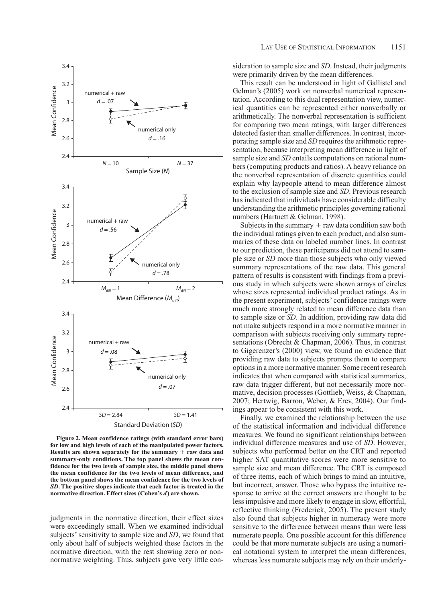

Figure 2. Mean confidence ratings (with standard error bars) for low and high levels of each of the manipulated power factors. Results are shown separately for the summary  $+$  raw data and summary-only conditions. The top panel shows the mean confidence for the two levels of sample size, the middle panel shows the mean confidence for the two levels of mean difference, and the bottom panel shows the mean confidence for the two levels of SD. The positive slopes indicate that each factor is treated in the normative direction. Effect sizes (Cohen's d) are shown.

judgments in the normative direction, their effect sizes were exceedingly small. When we examined individual subjects' sensitivity to sample size and SD, we found that only about half of subjects weighted these factors in the normative direction, with the rest showing zero or nonnormative weighting. Thus, subjects gave very little consideration to sample size and SD. Instead, their judgments were primarily driven by the mean differences.

This result can be understood in light of Gallistel and Gelman's (2005) work on nonverbal numerical representation. According to this dual representation view, numerical quantities can be represented either nonverbally or arithmetically. The nonverbal representation is sufficient for comparing two mean ratings, with larger differences detected faster than smaller differences. In contrast, incorporating sample size and SD requires the arithmetic representation, because interpreting mean difference in light of sample size and SD entails computations on rational numbers (computing products and ratios). A heavy reliance on the nonverbal representation of discrete quantities could explain why laypeople attend to mean difference almost to the exclusion of sample size and SD. Previous research has indicated that individuals have considerable difficulty understanding the arithmetic principles governing rational numbers (Hartnett & Gelman, 1998).

Subjects in the summary  $+$  raw data condition saw both the individual ratings given to each product, and also summaries of these data on labeled number lines. In contrast to our prediction, these participants did not attend to sample size or SD more than those subjects who only viewed summary representations of the raw data. This general pattern of results is consistent with findings from a previous study in which subjects were shown arrays of circles whose sizes represented individual product ratings. As in the present experiment, subjects' confidence ratings were much more strongly related to mean difference data than to sample size or SD. In addition, providing raw data did not make subjects respond in a more normative manner in comparison with subjects receiving only summary representations (Obrecht & Chapman, 2006). Thus, in contrast to Gigerenzer's (2000) view, we found no evidence that providing raw data to subjects prompts them to compare options in a more normative manner. Some recent research indicates that when compared with statistical summaries, raw data trigger different, but not necessarily more normative, decision processes (Gottlieb, Weiss, & Chapman, 2007; Hertwig, Barron, Weber, & Erev, 2004). Our findings appear to be consistent with this work.

Finally, we examined the relationship between the use of the statistical information and individual difference measures. We found no significant relationships between individual difference measures and use of SD. However, subjects who performed better on the CRT and reported higher SAT quantitative scores were more sensitive to sample size and mean difference. The CRT is composed of three items, each of which brings to mind an intuitive, but incorrect, answer. Those who bypass the intuitive response to arrive at the correct answers are thought to be less impulsive and more likely to engage in slow, effortful, reflective thinking (Frederick, 2005). The present study also found that subjects higher in numeracy were more sensitive to the difference between means than were less numerate people. One possible account for this difference could be that more numerate subjects are using a numerical notational system to interpret the mean differences, whereas less numerate subjects may rely on their underly